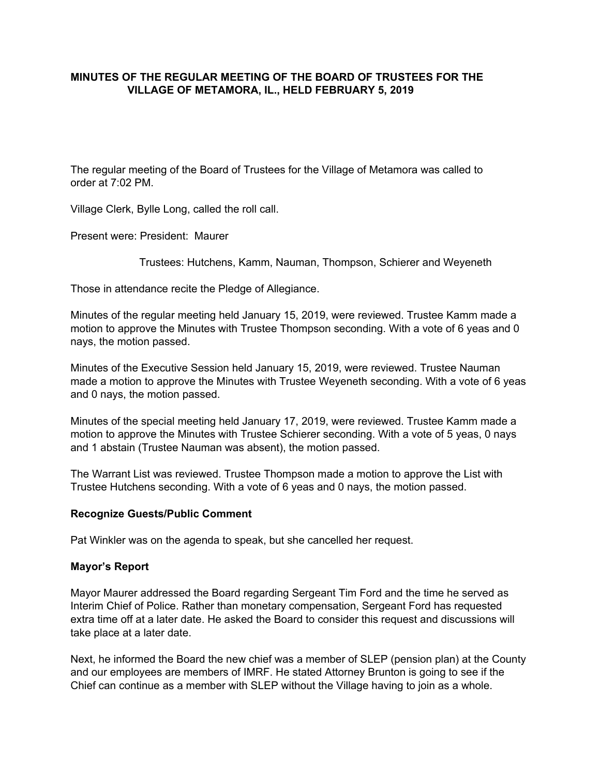## **MINUTES OF THE REGULAR MEETING OF THE BOARD OF TRUSTEES FOR THE VILLAGE OF METAMORA, IL., HELD FEBRUARY 5, 2019**

The regular meeting of the Board of Trustees for the Village of Metamora was called to order at 7:02 PM.

Village Clerk, Bylle Long, called the roll call.

Present were: President: Maurer

Trustees: Hutchens, Kamm, Nauman, Thompson, Schierer and Weyeneth

Those in attendance recite the Pledge of Allegiance.

Minutes of the regular meeting held January 15, 2019, were reviewed. Trustee Kamm made a motion to approve the Minutes with Trustee Thompson seconding. With a vote of 6 yeas and 0 nays, the motion passed.

Minutes of the Executive Session held January 15, 2019, were reviewed. Trustee Nauman made a motion to approve the Minutes with Trustee Weyeneth seconding. With a vote of 6 yeas and 0 nays, the motion passed.

Minutes of the special meeting held January 17, 2019, were reviewed. Trustee Kamm made a motion to approve the Minutes with Trustee Schierer seconding. With a vote of 5 yeas, 0 nays and 1 abstain (Trustee Nauman was absent), the motion passed.

The Warrant List was reviewed. Trustee Thompson made a motion to approve the List with Trustee Hutchens seconding. With a vote of 6 yeas and 0 nays, the motion passed.

#### **Recognize Guests/Public Comment**

Pat Winkler was on the agenda to speak, but she cancelled her request.

## **Mayor's Report**

Mayor Maurer addressed the Board regarding Sergeant Tim Ford and the time he served as Interim Chief of Police. Rather than monetary compensation, Sergeant Ford has requested extra time off at a later date. He asked the Board to consider this request and discussions will take place at a later date.

Next, he informed the Board the new chief was a member of SLEP (pension plan) at the County and our employees are members of IMRF. He stated Attorney Brunton is going to see if the Chief can continue as a member with SLEP without the Village having to join as a whole.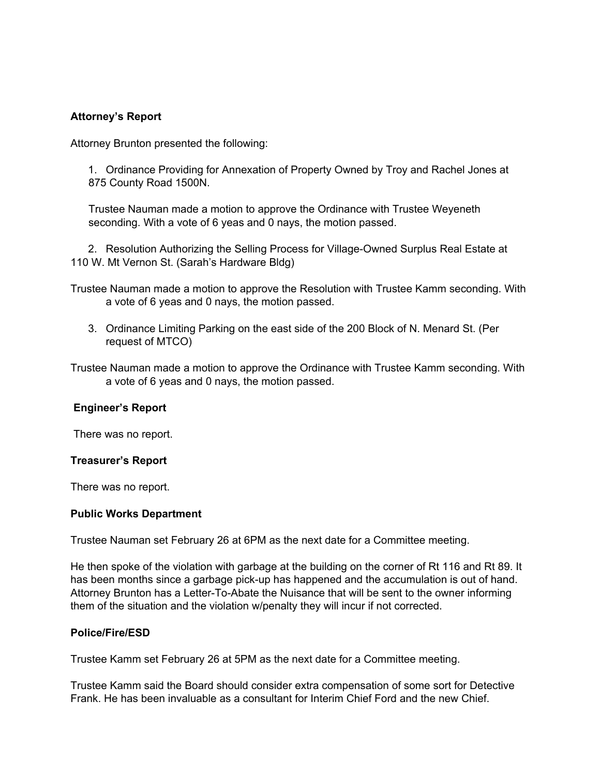# **Attorney's Report**

Attorney Brunton presented the following:

1. Ordinance Providing for Annexation of Property Owned by Troy and Rachel Jones at 875 County Road 1500N.

Trustee Nauman made a motion to approve the Ordinance with Trustee Weyeneth seconding. With a vote of 6 yeas and 0 nays, the motion passed.

2. Resolution Authorizing the Selling Process for Village-Owned Surplus Real Estate at 110 W. Mt Vernon St. (Sarah's Hardware Bldg)

Trustee Nauman made a motion to approve the Resolution with Trustee Kamm seconding. With a vote of 6 yeas and 0 nays, the motion passed.

3. Ordinance Limiting Parking on the east side of the 200 Block of N. Menard St. (Per request of MTCO)

Trustee Nauman made a motion to approve the Ordinance with Trustee Kamm seconding. With a vote of 6 yeas and 0 nays, the motion passed.

## **Engineer's Report**

There was no report.

#### **Treasurer's Report**

There was no report.

#### **Public Works Department**

Trustee Nauman set February 26 at 6PM as the next date for a Committee meeting.

He then spoke of the violation with garbage at the building on the corner of Rt 116 and Rt 89. It has been months since a garbage pick-up has happened and the accumulation is out of hand. Attorney Brunton has a Letter-To-Abate the Nuisance that will be sent to the owner informing them of the situation and the violation w/penalty they will incur if not corrected.

#### **Police/Fire/ESD**

Trustee Kamm set February 26 at 5PM as the next date for a Committee meeting.

Trustee Kamm said the Board should consider extra compensation of some sort for Detective Frank. He has been invaluable as a consultant for Interim Chief Ford and the new Chief.